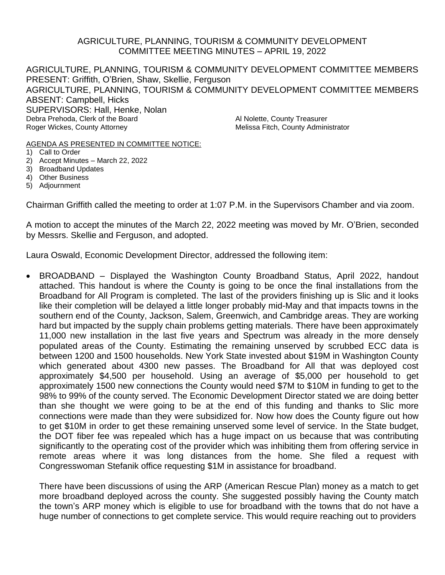#### AGRICULTURE, PLANNING, TOURISM & COMMUNITY DEVELOPMENT COMMITTEE MEETING MINUTES – APRIL 19, 2022

AGRICULTURE, PLANNING, TOURISM & COMMUNITY DEVELOPMENT COMMITTEE MEMBERS PRESENT: Griffith, O'Brien, Shaw, Skellie, Ferguson AGRICULTURE, PLANNING, TOURISM & COMMUNITY DEVELOPMENT COMMITTEE MEMBERS ABSENT: Campbell, Hicks SUPERVISORS: Hall, Henke, Nolan Debra Prehoda, Clerk of the Board All Nolette, County Treasurer Roger Wickes, County Attorney Melissa Fitch, County Administrator

AGENDA AS PRESENTED IN COMMITTEE NOTICE:

- 1) Call to Order
- 2) Accept Minutes March 22, 2022
- 3) Broadband Updates
- 4) Other Business
- 5) Adjournment

Chairman Griffith called the meeting to order at 1:07 P.M. in the Supervisors Chamber and via zoom.

A motion to accept the minutes of the March 22, 2022 meeting was moved by Mr. O'Brien, seconded by Messrs. Skellie and Ferguson, and adopted.

Laura Oswald, Economic Development Director, addressed the following item:

• BROADBAND – Displayed the Washington County Broadband Status, April 2022, handout attached. This handout is where the County is going to be once the final installations from the Broadband for All Program is completed. The last of the providers finishing up is Slic and it looks like their completion will be delayed a little longer probably mid-May and that impacts towns in the southern end of the County, Jackson, Salem, Greenwich, and Cambridge areas. They are working hard but impacted by the supply chain problems getting materials. There have been approximately 11,000 new installation in the last five years and Spectrum was already in the more densely populated areas of the County. Estimating the remaining unserved by scrubbed ECC data is between 1200 and 1500 households. New York State invested about \$19M in Washington County which generated about 4300 new passes. The Broadband for All that was deployed cost approximately \$4,500 per household. Using an average of \$5,000 per household to get approximately 1500 new connections the County would need \$7M to \$10M in funding to get to the 98% to 99% of the county served. The Economic Development Director stated we are doing better than she thought we were going to be at the end of this funding and thanks to Slic more connections were made than they were subsidized for. Now how does the County figure out how to get \$10M in order to get these remaining unserved some level of service. In the State budget, the DOT fiber fee was repealed which has a huge impact on us because that was contributing significantly to the operating cost of the provider which was inhibiting them from offering service in remote areas where it was long distances from the home. She filed a request with Congresswoman Stefanik office requesting \$1M in assistance for broadband.

There have been discussions of using the ARP (American Rescue Plan) money as a match to get more broadband deployed across the county. She suggested possibly having the County match the town's ARP money which is eligible to use for broadband with the towns that do not have a huge number of connections to get complete service. This would require reaching out to providers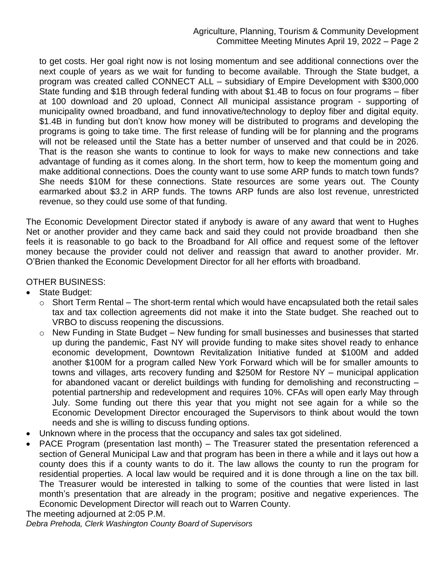### Agriculture, Planning, Tourism & Community Development Committee Meeting Minutes April 19, 2022 – Page 2

to get costs. Her goal right now is not losing momentum and see additional connections over the next couple of years as we wait for funding to become available. Through the State budget, a program was created called CONNECT ALL – subsidiary of Empire Development with \$300,000 State funding and \$1B through federal funding with about \$1.4B to focus on four programs – fiber at 100 download and 20 upload, Connect All municipal assistance program - supporting of municipality owned broadband, and fund innovative/technology to deploy fiber and digital equity. \$1.4B in funding but don't know how money will be distributed to programs and developing the programs is going to take time. The first release of funding will be for planning and the programs will not be released until the State has a better number of unserved and that could be in 2026. That is the reason she wants to continue to look for ways to make new connections and take advantage of funding as it comes along. In the short term, how to keep the momentum going and make additional connections. Does the county want to use some ARP funds to match town funds? She needs \$10M for these connections. State resources are some years out. The County earmarked about \$3.2 in ARP funds. The towns ARP funds are also lost revenue, unrestricted revenue, so they could use some of that funding.

The Economic Development Director stated if anybody is aware of any award that went to Hughes Net or another provider and they came back and said they could not provide broadband then she feels it is reasonable to go back to the Broadband for All office and request some of the leftover money because the provider could not deliver and reassign that award to another provider. Mr. O'Brien thanked the Economic Development Director for all her efforts with broadband.

## OTHER BUSINESS:

- State Budget:
	- $\circ$  Short Term Rental The short-term rental which would have encapsulated both the retail sales tax and tax collection agreements did not make it into the State budget. She reached out to VRBO to discuss reopening the discussions.
	- o New Funding in State Budget New funding for small businesses and businesses that started up during the pandemic, Fast NY will provide funding to make sites shovel ready to enhance economic development, Downtown Revitalization Initiative funded at \$100M and added another \$100M for a program called New York Forward which will be for smaller amounts to towns and villages, arts recovery funding and \$250M for Restore NY – municipal application for abandoned vacant or derelict buildings with funding for demolishing and reconstructing – potential partnership and redevelopment and requires 10%. CFAs will open early May through July. Some funding out there this year that you might not see again for a while so the Economic Development Director encouraged the Supervisors to think about would the town needs and she is willing to discuss funding options.
- Unknown where in the process that the occupancy and sales tax got sidelined.
- PACE Program (presentation last month) The Treasurer stated the presentation referenced a section of General Municipal Law and that program has been in there a while and it lays out how a county does this if a county wants to do it. The law allows the county to run the program for residential properties. A local law would be required and it is done through a line on the tax bill. The Treasurer would be interested in talking to some of the counties that were listed in last month's presentation that are already in the program; positive and negative experiences. The Economic Development Director will reach out to Warren County.

The meeting adjourned at 2:05 P.M. *Debra Prehoda, Clerk Washington County Board of Supervisors*